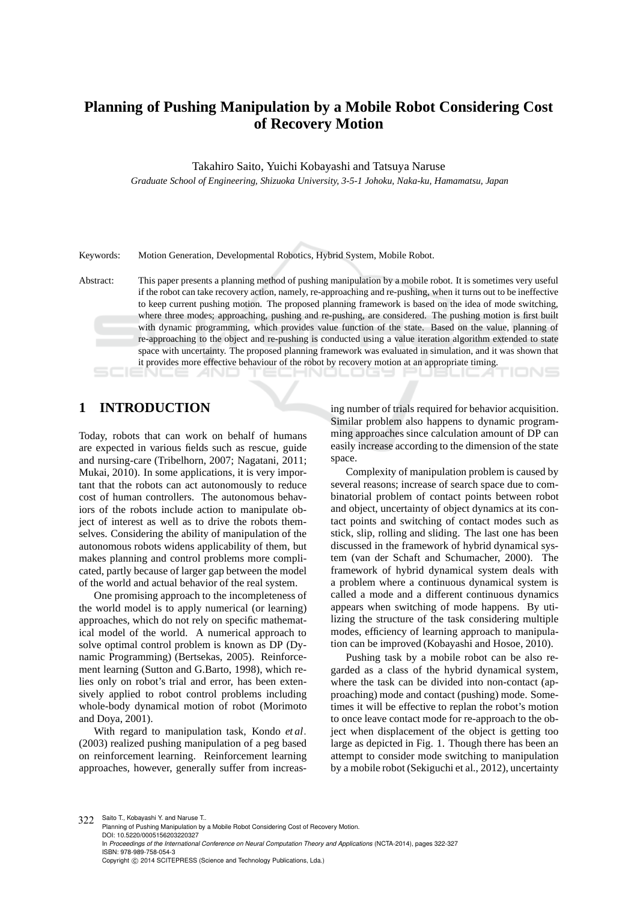## **Planning of Pushing Manipulation by a Mobile Robot Considering Cost of Recovery Motion**

Takahiro Saito, Yuichi Kobayashi and Tatsuya Naruse

*Graduate School of Engineering, Shizuoka University, 3-5-1 Johoku, Naka-ku, Hamamatsu, Japan*

Keywords: Motion Generation, Developmental Robotics, Hybrid System, Mobile Robot.

Abstract: This paper presents a planning method of pushing manipulation by a mobile robot. It is sometimes very useful if the robot can take recovery action, namely, re-approaching and re-pushing, when it turns out to be ineffective to keep current pushing motion. The proposed planning framework is based on the idea of mode switching, where three modes; approaching, pushing and re-pushing, are considered. The pushing motion is first built with dynamic programming, which provides value function of the state. Based on the value, planning of re-approaching to the object and re-pushing is conducted using a value iteration algorithm extended to state space with uncertainty. The proposed planning framework was evaluated in simulation, and it was shown that it provides more effective behaviour of the robot by recovery motion at an appropriate timing.

## **1 INTRODUCTION**

Today, robots that can work on behalf of humans are expected in various fields such as rescue, guide and nursing-care (Tribelhorn, 2007; Nagatani, 2011; Mukai, 2010). In some applications, it is very important that the robots can act autonomously to reduce cost of human controllers. The autonomous behaviors of the robots include action to manipulate object of interest as well as to drive the robots themselves. Considering the ability of manipulation of the autonomous robots widens applicability of them, but makes planning and control problems more complicated, partly because of larger gap between the model of the world and actual behavior of the real system.

One promising approach to the incompleteness of the world model is to apply numerical (or learning) approaches, which do not rely on specific mathematical model of the world. A numerical approach to solve optimal control problem is known as DP (Dynamic Programming) (Bertsekas, 2005). Reinforcement learning (Sutton and G.Barto, 1998), which relies only on robot's trial and error, has been extensively applied to robot control problems including whole-body dynamical motion of robot (Morimoto and Doya, 2001).

With regard to manipulation task, Kondo *et al*. (2003) realized pushing manipulation of a peg based on reinforcement learning. Reinforcement learning approaches, however, generally suffer from increas-

ing number of trials required for behavior acquisition. Similar problem also happens to dynamic programming approaches since calculation amount of DP can easily increase according to the dimension of the state space.

Complexity of manipulation problem is caused by several reasons; increase of search space due to combinatorial problem of contact points between robot and object, uncertainty of object dynamics at its contact points and switching of contact modes such as stick, slip, rolling and sliding. The last one has been discussed in the framework of hybrid dynamical system (van der Schaft and Schumacher, 2000). The framework of hybrid dynamical system deals with a problem where a continuous dynamical system is called a mode and a different continuous dynamics appears when switching of mode happens. By utilizing the structure of the task considering multiple modes, efficiency of learning approach to manipulation can be improved (Kobayashi and Hosoe, 2010).

Pushing task by a mobile robot can be also regarded as a class of the hybrid dynamical system, where the task can be divided into non-contact (approaching) mode and contact (pushing) mode. Sometimes it will be effective to replan the robot's motion to once leave contact mode for re-approach to the object when displacement of the object is getting too large as depicted in Fig. 1. Though there has been an attempt to consider mode switching to manipulation by a mobile robot (Sekiguchi et al., 2012), uncertainty

322 Saito T., Kobayashi Y. and Naruse T. Planning of Pushing Manipulation by a Mobile Robot Considering Cost of Recovery Motion. DOI: 10.5220/0005156203220327 In *Proceedings of the International Conference on Neural Computation Theory and Applications* (NCTA-2014), pages 322-327 ISBN: 978-989-758-054-3 Copyright © 2014 SCITEPRESS (Science and Technology Publications, Lda.)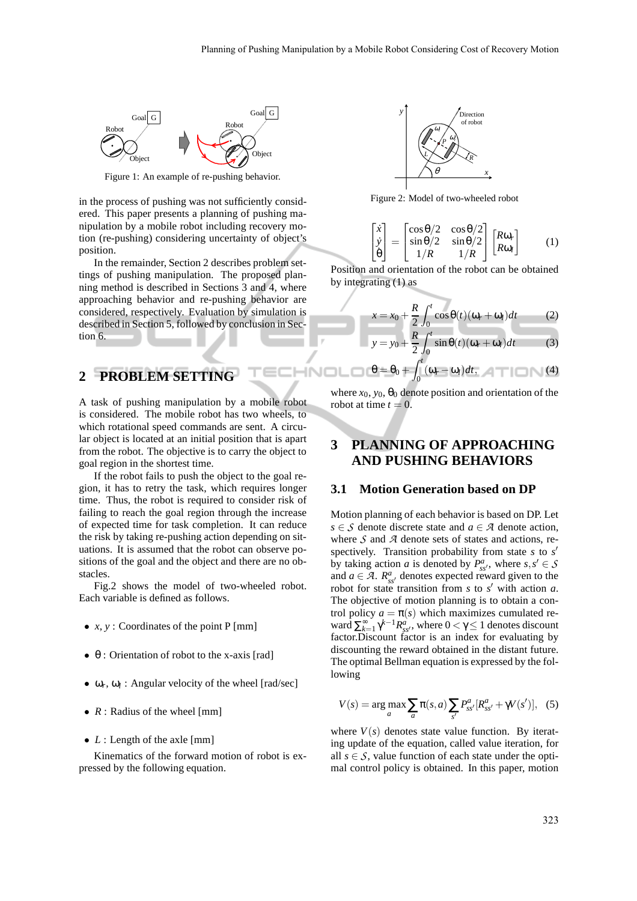**INOI** 



Figure 1: An example of re-pushing behavior.

in the process of pushing was not sufficiently considered. This paper presents a planning of pushing manipulation by a mobile robot including recovery motion (re-pushing) considering uncertainty of object's position.

In the remainder, Section 2 describes problem settings of pushing manipulation. The proposed planning method is described in Sections 3 and 4, where approaching behavior and re-pushing behavior are considered, respectively. Evaluation by simulation is described in Section 5, followed by conclusion in Section 6.

## **2 PROBLEM SETTING**

A task of pushing manipulation by a mobile robot is considered. The mobile robot has two wheels, to which rotational speed commands are sent. A circular object is located at an initial position that is apart from the robot. The objective is to carry the object to goal region in the shortest time.

If the robot fails to push the object to the goal region, it has to retry the task, which requires longer time. Thus, the robot is required to consider risk of failing to reach the goal region through the increase of expected time for task completion. It can reduce the risk by taking re-pushing action depending on situations. It is assumed that the robot can observe positions of the goal and the object and there are no obstacles.

Fig.2 shows the model of two-wheeled robot. Each variable is defined as follows.

- *x*, *y* : Coordinates of the point P [mm]
- $\bullet$   $\theta$  : Orientation of robot to the x-axis [rad]
- $\bullet$   $\omega_r$ ,  $\omega_l$ : Angular velocity of the wheel [rad/sec]
- *R* : Radius of the wheel [mm]
- *L* : Length of the axle [mm]

Kinematics of the forward motion of robot is expressed by the following equation.



Figure 2: Model of two-wheeled robot

$$
\begin{bmatrix} \dot{x} \\ \dot{y} \\ \dot{\theta} \end{bmatrix} = \begin{bmatrix} \cos \theta/2 & \cos \theta/2 \\ \sin \theta/2 & \sin \theta/2 \\ 1/R & 1/R \end{bmatrix} \begin{bmatrix} R\omega_r \\ R\omega_l \end{bmatrix}
$$
 (1)

Position and orientation of the robot can be obtained by integrating (1) as

$$
x = x_0 + \frac{R}{2} \int_0^t \cos \theta(t) (\omega_r + \omega_l) dt
$$
 (2)  

$$
y = y_0 + \frac{R}{2} \int_0^t \sin \theta(t) (\omega_r + \omega_l) dt
$$
 (3)

$$
\Box \Box \theta = \theta_0 + \int_0^t (\omega_r - \omega_l) dt, \qquad (4)
$$

where  $x_0$ ,  $y_0$ ,  $\theta_0$  denote position and orientation of the robot at time  $t = 0$ .

## **3 PLANNING OF APPROACHING AND PUSHING BEHAVIORS**

#### **3.1 Motion Generation based on DP**

Motion planning of each behavior is based on DP. Let *s* ∈ *S* denote discrete state and *a* ∈ *A* denote action, where *S* and *A* denote sets of states and actions, respectively. Transition probability from state *s* to *s* ′ by taking action *a* is denoted by  $P_{ss'}^a$ , where  $s, s' \in S$ and  $a \in \mathcal{A}$ .  $R_{ss'}^a$  denotes expected reward given to the robot for state transition from  $s$  to  $s'$  with action  $a$ . The objective of motion planning is to obtain a control policy  $a = \pi(s)$  which maximizes cumulated reward  $\sum_{k=1}^{\infty} \gamma^{k-1} R_{ss'}^a$ , where  $0 < \gamma \le 1$  denotes discount factor.Discount factor is an index for evaluating by discounting the reward obtained in the distant future. The optimal Bellman equation is expressed by the following

$$
V(s) = \arg \max_{a} \sum_{a} \pi(s, a) \sum_{s'} P_{ss'}^{a} [R_{ss'}^{a} + \gamma V(s')] , \quad (5)
$$

where  $V(s)$  denotes state value function. By iterating update of the equation, called value iteration, for all  $s \in S$ , value function of each state under the optimal control policy is obtained. In this paper, motion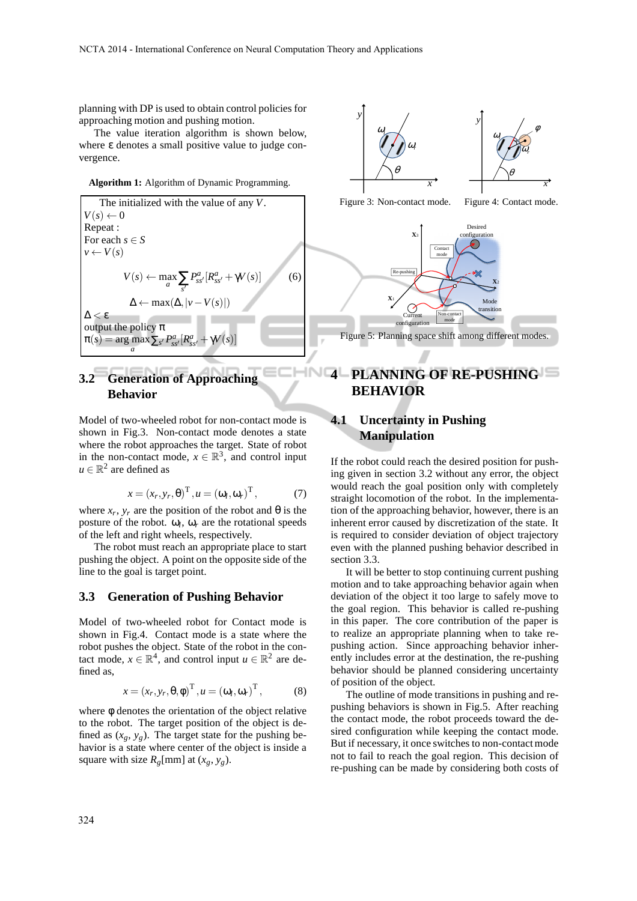planning with DP is used to obtain control policies for approaching motion and pushing motion.

The value iteration algorithm is shown below, where ε denotes a small positive value to judge convergence.

**Algorithm 1:** Algorithm of Dynamic Programming.

The initialized with the value of any *V*.  $V(s) \leftarrow 0$ Repeat : For each  $s \in S$  $v \leftarrow V(s)$  $V(s) \leftarrow \max_{a} \sum_{s'} P_{ss'}^{a} [R_{s}^{a}]$ *ss*′ +γ*V*(*s*)] (6) ∆ ← max(∆,|*v*−*V*(*s*)|)  $\Delta < \varepsilon$ . output the policy  $\pi$  $\pi(s) = \arg \max \sum_{s'} P_{ss'}^a [R_{s}^a]$ *a*  $s<sub>ss'</sub> + \gamma V(s)$ ]

## **3.2 Generation of Approaching Behavior**

Model of two-wheeled robot for non-contact mode is shown in Fig.3. Non-contact mode denotes a state where the robot approaches the target. State of robot in the non-contact mode,  $x \in \mathbb{R}^3$ , and control input  $u \in \mathbb{R}^2$  are defined as

$$
x = (x_r, y_r, \theta)^{\mathrm{T}}, u = (\omega_l, \omega_r)^{\mathrm{T}}, \tag{7}
$$

where  $x_r$ ,  $y_r$  are the position of the robot and  $\theta$  is the posture of the robot.  $\omega_l$ ,  $\omega_r$  are the rotational speeds of the left and right wheels, respectively.

The robot must reach an appropriate place to start pushing the object. A point on the opposite side of the line to the goal is target point.

#### **3.3 Generation of Pushing Behavior**

Model of two-wheeled robot for Contact mode is shown in Fig.4. Contact mode is a state where the robot pushes the object. State of the robot in the contact mode,  $x \in \mathbb{R}^4$ , and control input  $u \in \mathbb{R}^2$  are defined as,

$$
x = (x_r, y_r, \theta, \phi)^{\mathrm{T}}, u = (\omega_l, \omega_r)^{\mathrm{T}}, \tag{8}
$$

where  $\phi$  denotes the orientation of the object relative to the robot. The target position of the object is defined as  $(x_g, y_g)$ . The target state for the pushing behavior is a state where center of the object is inside a square with size  $R_g$ [mm] at  $(x_g, y_g)$ .





Figure 4: Contact mode.

Figure 3: Non-contact mode.

**X**<sup>2</sup> Current configuration Non-contact mode Mode transition Contact mode **X**<sup>1</sup> **X**<sup>3</sup> Desired configuration  $Re-$ Figure 5: Planning space shift among different modes.

# **4 PLANNING OF RE-PUSHING BEHAVIOR**

## **4.1 Uncertainty in Pushing Manipulation**

If the robot could reach the desired position for pushing given in section 3.2 without any error, the object would reach the goal position only with completely straight locomotion of the robot. In the implementation of the approaching behavior, however, there is an inherent error caused by discretization of the state. It is required to consider deviation of object trajectory even with the planned pushing behavior described in section 3.3.

It will be better to stop continuing current pushing motion and to take approaching behavior again when deviation of the object it too large to safely move to the goal region. This behavior is called re-pushing in this paper. The core contribution of the paper is to realize an appropriate planning when to take repushing action. Since approaching behavior inherently includes error at the destination, the re-pushing behavior should be planned considering uncertainty of position of the object.

The outline of mode transitions in pushing and repushing behaviors is shown in Fig.5. After reaching the contact mode, the robot proceeds toward the desired configuration while keeping the contact mode. But if necessary, it once switches to non-contact mode not to fail to reach the goal region. This decision of re-pushing can be made by considering both costs of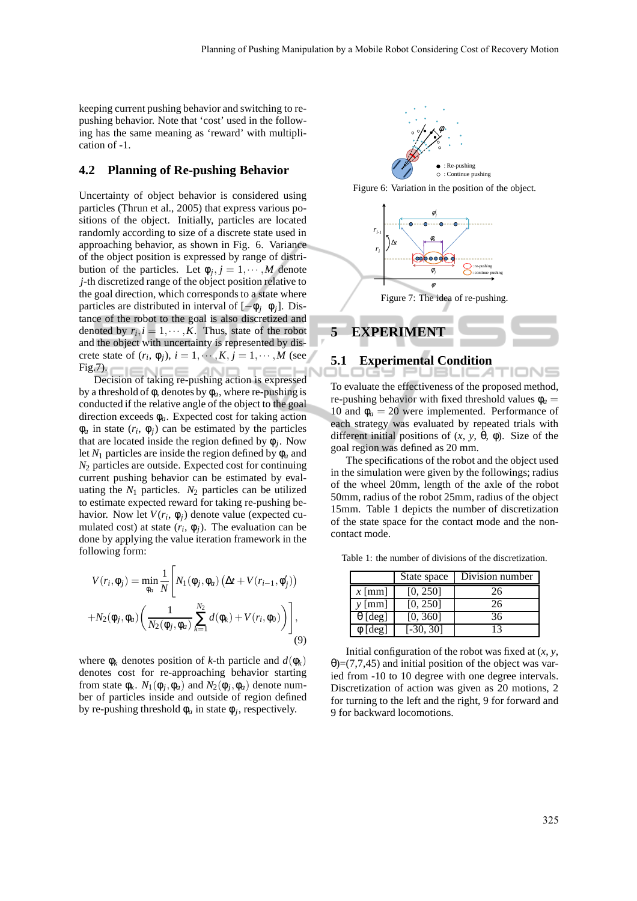keeping current pushing behavior and switching to repushing behavior. Note that 'cost' used in the following has the same meaning as 'reward' with multiplication of -1.

#### **4.2 Planning of Re-pushing Behavior**

Uncertainty of object behavior is considered using particles (Thrun et al., 2005) that express various positions of the object. Initially, particles are located randomly according to size of a discrete state used in approaching behavior, as shown in Fig. 6. Variance of the object position is expressed by range of distribution of the particles. Let  $\phi_j$ ,  $j = 1, \dots, M$  denote *j*-th discretized range of the object position relative to the goal direction, which corresponds to a state where particles are distributed in interval of [−φ*<sup>j</sup>* φ*j*]. Distance of the robot to the goal is also discretized and denoted by  $r_i$ ,  $i = 1, \dots, K$ . Thus, state of the robot and the object with uncertainty is represented by discrete state of  $(r_i, \phi_j)$ ,  $i = 1, \dots, K, j = 1, \dots, M$  (see Fig.7). **TENC**  $-$ **TECL** 

Decision of taking re-pushing action is expressed by a threshold of φ, denotes by φ*a*, where re-pushing is conducted if the relative angle of the object to the goal direction exceeds φ*a*. Expected cost for taking action  $\phi_a$  in state  $(r_i, \phi_j)$  can be estimated by the particles that are located inside the region defined by  $\phi_j$ . Now let  $N_1$  particles are inside the region defined by  $\phi_a$  and *N*<sup>2</sup> particles are outside. Expected cost for continuing current pushing behavior can be estimated by evaluating the  $N_1$  particles.  $N_2$  particles can be utilized to estimate expected reward for taking re-pushing behavior. Now let  $V(r_i, \phi_j)$  denote value (expected cumulated cost) at state  $(r_i, \phi_j)$ . The evaluation can be done by applying the value iteration framework in the following form:

$$
V(r_i, \phi_j) = \min_{\phi_a} \frac{1}{N} \left[ N_1(\phi_j, \phi_a) \left( \Delta t + V(r_{i-1}, \phi'_j) \right) + N_2(\phi_j, \phi_a) \left( \frac{1}{N_2(\phi_j, \phi_a)} \sum_{k=1}^{N_2} d(\phi_k) + V(r_i, \phi_0) \right) \right],
$$
\n(9)

where  $\phi_k$  denotes position of *k*-th particle and  $d(\phi_k)$ denotes cost for re-approaching behavior starting from state  $\phi_k$ .  $N_1(\phi_j, \phi_a)$  and  $N_2(\phi_j, \phi_a)$  denote number of particles inside and outside of region defined by re-pushing threshold  $\phi_a$  in state  $\phi_j$ , respectively.



Figure 6: Variation in the position of the object.



#### **5.1 Experimental Condition**

To evaluate the effectiveness of the proposed method, re-pushing behavior with fixed threshold values  $\phi_a$  = 10 and  $\phi_a = 20$  were implemented. Performance of each strategy was evaluated by repeated trials with different initial positions of  $(x, y, \theta, \phi)$ . Size of the goal region was defined as 20 mm.

The specifications of the robot and the object used in the simulation were given by the followings; radius of the wheel 20mm, length of the axle of the robot 50mm, radius of the robot 25mm, radius of the object 15mm. Table 1 depicts the number of discretization of the state space for the contact mode and the noncontact mode.

Table 1: the number of divisions of the discretization.

|                         | State space | Division number |
|-------------------------|-------------|-----------------|
| $x$ [mm]                | [0, 250]    | 26              |
| $y$ [mm]                | [0, 250]    | 26              |
| $\theta$ [deg]          | [0, 360]    | 36              |
| $\overline{\phi}$ [deg] | $[-30, 30]$ | 13              |

Initial configuration of the robot was fixed at (*x*, *y*,  $\theta$ )=(7,7,45) and initial position of the object was varied from -10 to 10 degree with one degree intervals. Discretization of action was given as 20 motions, 2 for turning to the left and the right, 9 for forward and 9 for backward locomotions.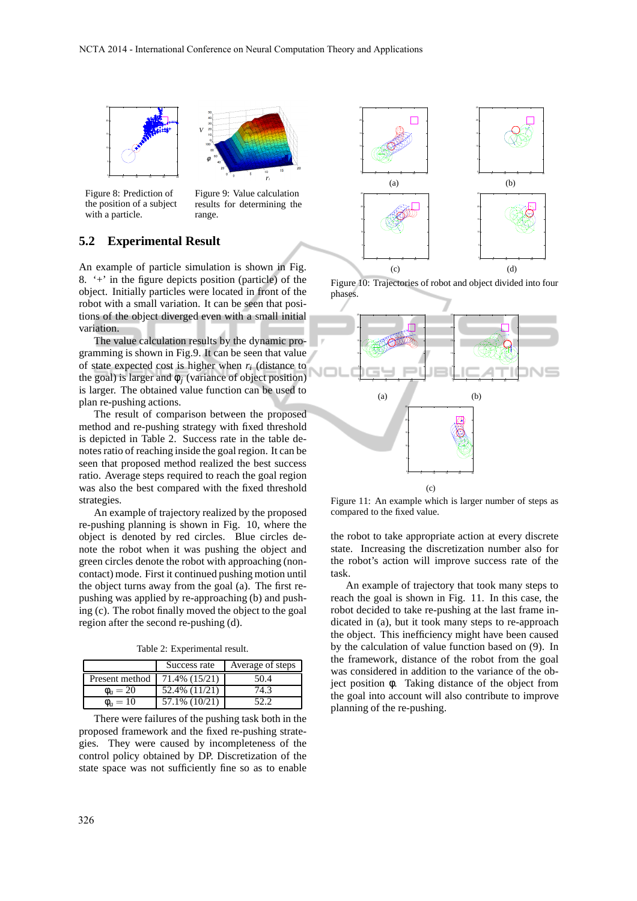



Figure 8: Prediction of the position of a subject with a particle.

Figure 9: Value calculation results for determining the range.

### **5.2 Experimental Result**

An example of particle simulation is shown in Fig. 8.  $+$  in the figure depicts position (particle) of the object. Initially particles were located in front of the robot with a small variation. It can be seen that positions of the object diverged even with a small initial variation.

The value calculation results by the dynamic programming is shown in Fig.9. It can be seen that value of state expected cost is higher when  $r_i$  (distance to the goal) is larger and  $\phi_j$  (variance of object position) is larger. The obtained value function can be used to plan re-pushing actions.

The result of comparison between the proposed method and re-pushing strategy with fixed threshold is depicted in Table 2. Success rate in the table denotes ratio of reaching inside the goal region. It can be seen that proposed method realized the best success ratio. Average steps required to reach the goal region was also the best compared with the fixed threshold strategies.

An example of trajectory realized by the proposed re-pushing planning is shown in Fig. 10, where the object is denoted by red circles. Blue circles denote the robot when it was pushing the object and green circles denote the robot with approaching (noncontact) mode. First it continued pushing motion until the object turns away from the goal (a). The first repushing was applied by re-approaching (b) and pushing (c). The robot finally moved the object to the goal region after the second re-pushing (d).

Table 2: Experimental result.

|                | Success rate  | Average of steps |
|----------------|---------------|------------------|
| Present method | 71.4% (15/21) | 50.4             |
| $\Phi_a = 20$  | 52.4% (11/21) | 74.3             |
| $\phi_a = 10$  | 57.1% (10/21) |                  |

There were failures of the pushing task both in the proposed framework and the fixed re-pushing strategies. They were caused by incompleteness of the control policy obtained by DP. Discretization of the state space was not sufficiently fine so as to enable







Figure 11: An example which is larger number of steps as compared to the fixed value.

the robot to take appropriate action at every discrete state. Increasing the discretization number also for the robot's action will improve success rate of the task.

An example of trajectory that took many steps to reach the goal is shown in Fig. 11. In this case, the robot decided to take re-pushing at the last frame indicated in (a), but it took many steps to re-approach the object. This inefficiency might have been caused by the calculation of value function based on (9). In the framework, distance of the robot from the goal was considered in addition to the variance of the object position φ. Taking distance of the object from the goal into account will also contribute to improve planning of the re-pushing.